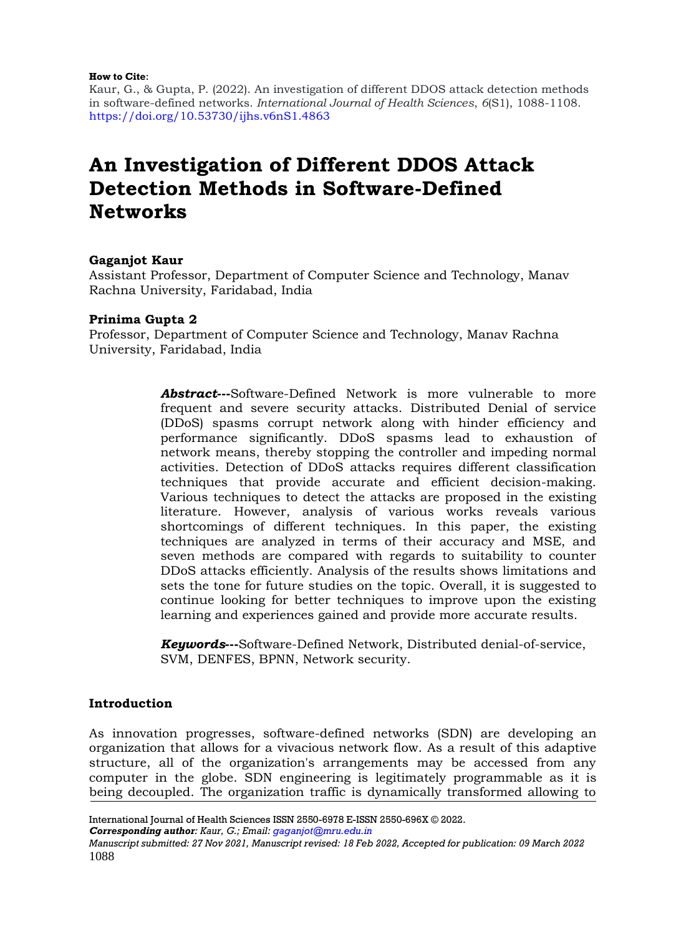#### **How to Cite**:

Kaur, G., & Gupta, P. (2022). An investigation of different DDOS attack detection methods in software-defined networks. *International Journal of Health Sciences*, *6*(S1), 1088-1108. <https://doi.org/10.53730/ijhs.v6nS1.4863>

# **An Investigation of Different DDOS Attack Detection Methods in Software-Defined Networks**

### **Gaganjot Kaur**

Assistant Professor, Department of Computer Science and Technology, Manav Rachna University, Faridabad, India

## **Prinima Gupta 2**

Professor, Department of Computer Science and Technology, Manav Rachna University, Faridabad, India

> *Abstract*—-Software-Defined Network is more vulnerable to more frequent and severe security attacks. Distributed Denial of service (DDoS) spasms corrupt network along with hinder efficiency and performance significantly. DDoS spasms lead to exhaustion of network means, thereby stopping the controller and impeding normal activities. Detection of DDoS attacks requires different classification techniques that provide accurate and efficient decision-making. Various techniques to detect the attacks are proposed in the existing literature. However, analysis of various works reveals various shortcomings of different techniques. In this paper, the existing techniques are analyzed in terms of their accuracy and MSE, and seven methods are compared with regards to suitability to counter DDoS attacks efficiently. Analysis of the results shows limitations and sets the tone for future studies on the topic. Overall, it is suggested to continue looking for better techniques to improve upon the existing learning and experiences gained and provide more accurate results.

*Keywords***---**Software-Defined Network, Distributed denial-of-service, SVM, DENFES, BPNN, Network security.

### **Introduction**

As innovation progresses, software-defined networks (SDN) are developing an organization that allows for a vivacious network flow. As a result of this adaptive structure, all of the organization's arrangements may be accessed from any computer in the globe. SDN engineering is legitimately programmable as it is being decoupled. The organization traffic is dynamically transformed allowing to

*Corresponding author: Kaur, G.; Email: [gaganjot@mru.edu.in](mailto:gaganjot@mru.edu.in)*

International Journal of Health Sciences ISSN 2550-6978 E-ISSN 2550-696X © 2022.

*Manuscript submitted: 27 Nov 2021, Manuscript revised: 18 Feb 2022, Accepted for publication: 09 March 2022* 1088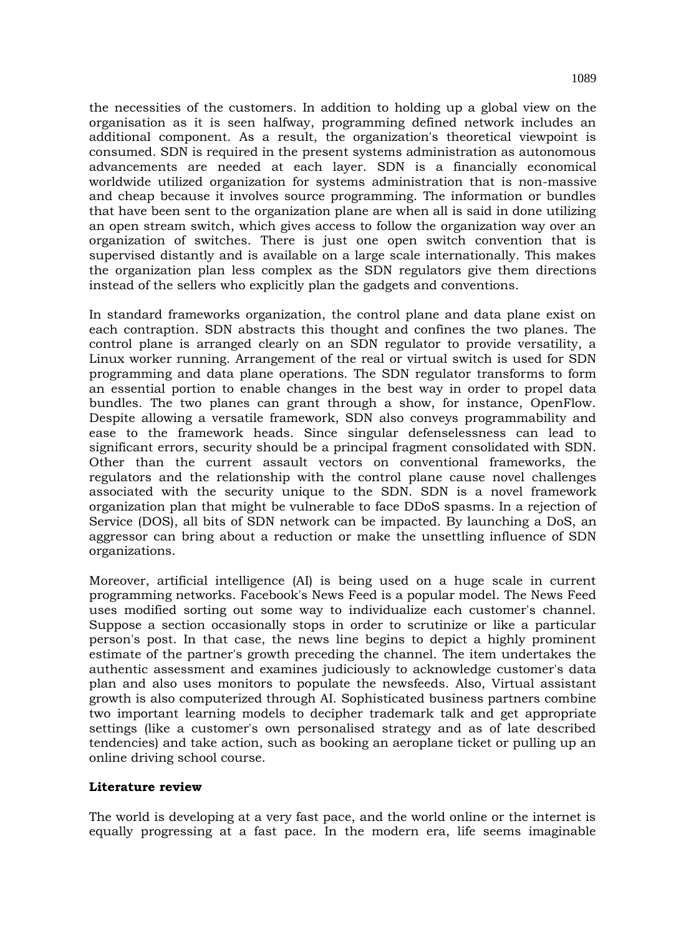the necessities of the customers. In addition to holding up a global view on the organisation as it is seen halfway, programming defined network includes an additional component. As a result, the organization's theoretical viewpoint is consumed. SDN is required in the present systems administration as autonomous advancements are needed at each layer. SDN is a financially economical worldwide utilized organization for systems administration that is non-massive and cheap because it involves source programming. The information or bundles that have been sent to the organization plane are when all is said in done utilizing an open stream switch, which gives access to follow the organization way over an organization of switches. There is just one open switch convention that is supervised distantly and is available on a large scale internationally. This makes the organization plan less complex as the SDN regulators give them directions instead of the sellers who explicitly plan the gadgets and conventions.

In standard frameworks organization, the control plane and data plane exist on each contraption. SDN abstracts this thought and confines the two planes. The control plane is arranged clearly on an SDN regulator to provide versatility, a Linux worker running. Arrangement of the real or virtual switch is used for SDN programming and data plane operations. The SDN regulator transforms to form an essential portion to enable changes in the best way in order to propel data bundles. The two planes can grant through a show, for instance, OpenFlow. Despite allowing a versatile framework, SDN also conveys programmability and ease to the framework heads. Since singular defenselessness can lead to significant errors, security should be a principal fragment consolidated with SDN. Other than the current assault vectors on conventional frameworks, the regulators and the relationship with the control plane cause novel challenges associated with the security unique to the SDN. SDN is a novel framework organization plan that might be vulnerable to face DDoS spasms. In a rejection of Service (DOS), all bits of SDN network can be impacted. By launching a DoS, an aggressor can bring about a reduction or make the unsettling influence of SDN organizations.

Moreover, artificial intelligence (AI) is being used on a huge scale in current programming networks. Facebook's News Feed is a popular model. The News Feed uses modified sorting out some way to individualize each customer's channel. Suppose a section occasionally stops in order to scrutinize or like a particular person's post. In that case, the news line begins to depict a highly prominent estimate of the partner's growth preceding the channel. The item undertakes the authentic assessment and examines judiciously to acknowledge customer's data plan and also uses monitors to populate the newsfeeds. Also, Virtual assistant growth is also computerized through AI. Sophisticated business partners combine two important learning models to decipher trademark talk and get appropriate settings (like a customer's own personalised strategy and as of late described tendencies) and take action, such as booking an aeroplane ticket or pulling up an online driving school course.

### **Literature review**

The world is developing at a very fast pace, and the world online or the internet is equally progressing at a fast pace. In the modern era, life seems imaginable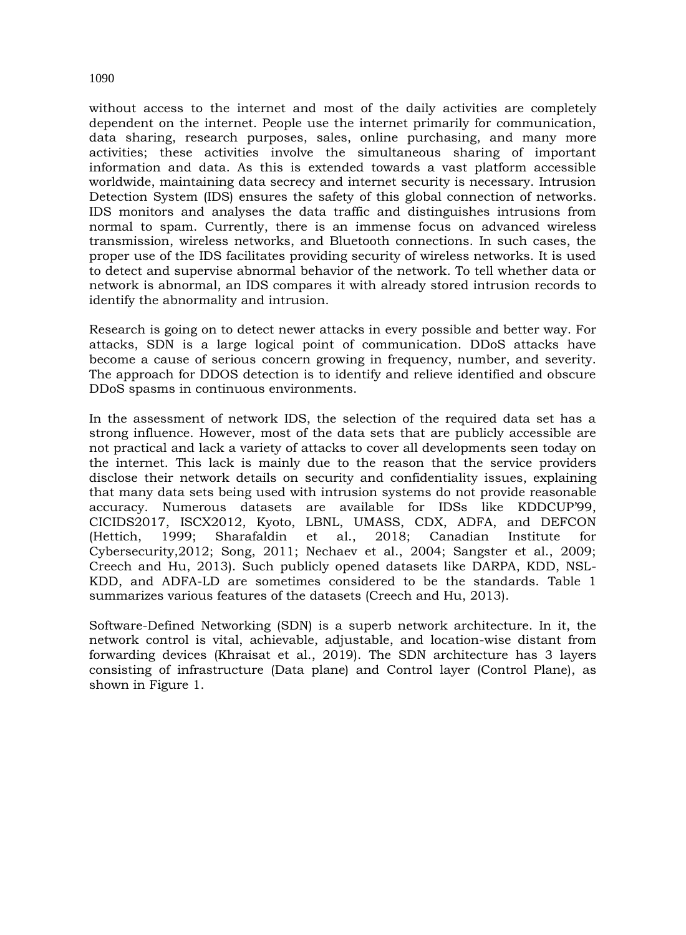without access to the internet and most of the daily activities are completely dependent on the internet. People use the internet primarily for communication, data sharing, research purposes, sales, online purchasing, and many more activities; these activities involve the simultaneous sharing of important information and data. As this is extended towards a vast platform accessible worldwide, maintaining data secrecy and internet security is necessary. Intrusion Detection System (IDS) ensures the safety of this global connection of networks. IDS monitors and analyses the data traffic and distinguishes intrusions from normal to spam. Currently, there is an immense focus on advanced wireless transmission, wireless networks, and Bluetooth connections. In such cases, the proper use of the IDS facilitates providing security of wireless networks. It is used to detect and supervise abnormal behavior of the network. To tell whether data or network is abnormal, an IDS compares it with already stored intrusion records to identify the abnormality and intrusion.

Research is going on to detect newer attacks in every possible and better way. For attacks, SDN is a large logical point of communication. DDoS attacks have become a cause of serious concern growing in frequency, number, and severity. The approach for DDOS detection is to identify and relieve identified and obscure DDoS spasms in continuous environments.

In the assessment of network IDS, the selection of the required data set has a strong influence. However, most of the data sets that are publicly accessible are not practical and lack a variety of attacks to cover all developments seen today on the internet. This lack is mainly due to the reason that the service providers disclose their network details on security and confidentiality issues, explaining that many data sets being used with intrusion systems do not provide reasonable accuracy. Numerous datasets are available for IDSs like KDDCUP'99, CICIDS2017, ISCX2012, Kyoto, LBNL, UMASS, CDX, ADFA, and DEFCON (Hettich, 1999; Sharafaldin et al., 2018; Canadian Institute for Cybersecurity,2012; Song, 2011; Nechaev et al., 2004; Sangster et al., 2009; Creech and Hu, 2013). Such publicly opened datasets like DARPA, KDD, NSL-KDD, and ADFA-LD are sometimes considered to be the standards. Table 1 summarizes various features of the datasets (Creech and Hu, 2013).

Software-Defined Networking (SDN) is a superb network architecture. In it, the network control is vital, achievable, adjustable, and location-wise distant from forwarding devices (Khraisat et al., 2019). The SDN architecture has 3 layers consisting of infrastructure (Data plane) and Control layer (Control Plane), as shown in Figure 1.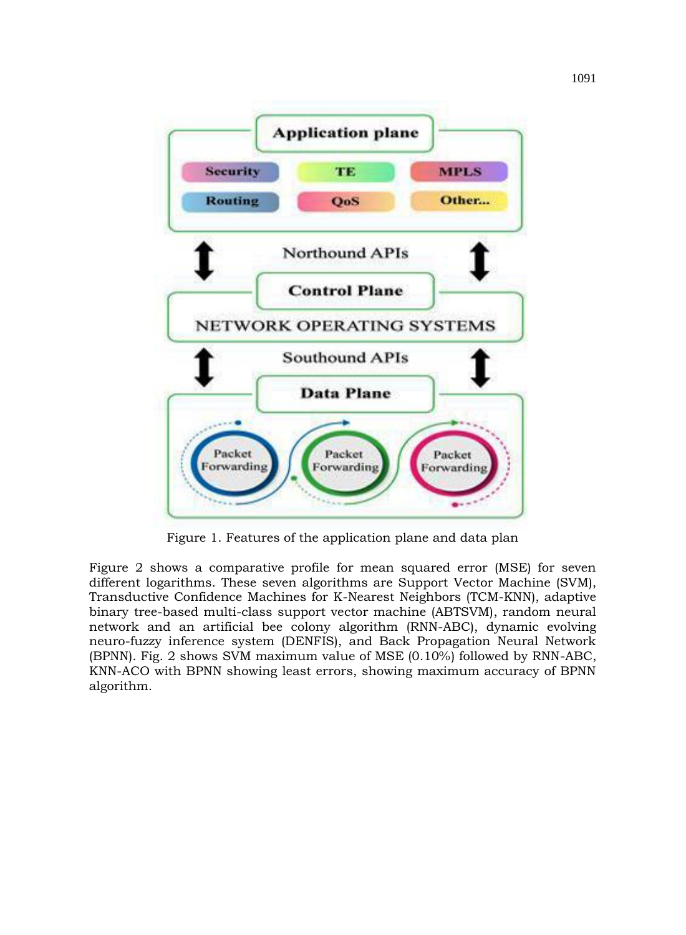

Figure 1. Features of the application plane and data plan

Figure 2 shows a comparative profile for mean squared error (MSE) for seven different logarithms. These seven algorithms are Support Vector Machine (SVM), Transductive Confidence Machines for K-Nearest Neighbors (TCM-KNN), adaptive binary tree-based multi-class support vector machine (ABTSVM), random neural network and an artificial bee colony algorithm (RNN-ABC), dynamic evolving neuro-fuzzy inference system (DENFIS), and Back Propagation Neural Network (BPNN). Fig. 2 shows SVM maximum value of MSE (0.10%) followed by RNN-ABC, KNN-ACO with BPNN showing least errors, showing maximum accuracy of BPNN algorithm.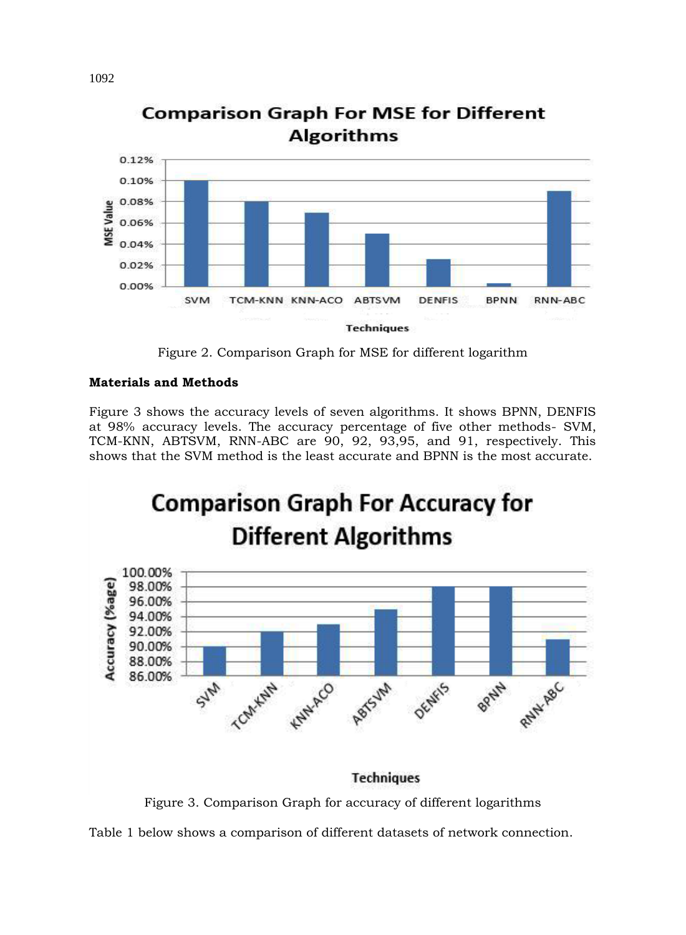

**Comparison Graph For MSE for Different Algorithms** 

Figure 2. Comparison Graph for MSE for different logarithm

## **Materials and Methods**

Figure 3 shows the accuracy levels of seven algorithms. It shows BPNN, DENFIS at 98% accuracy levels. The accuracy percentage of five other methods- SVM, TCM-KNN, ABTSVM, RNN-ABC are 90, 92, 93,95, and 91, respectively. This shows that the SVM method is the least accurate and BPNN is the most accurate.



Figure 3. Comparison Graph for accuracy of different logarithms

Table 1 below shows a comparison of different datasets of network connection.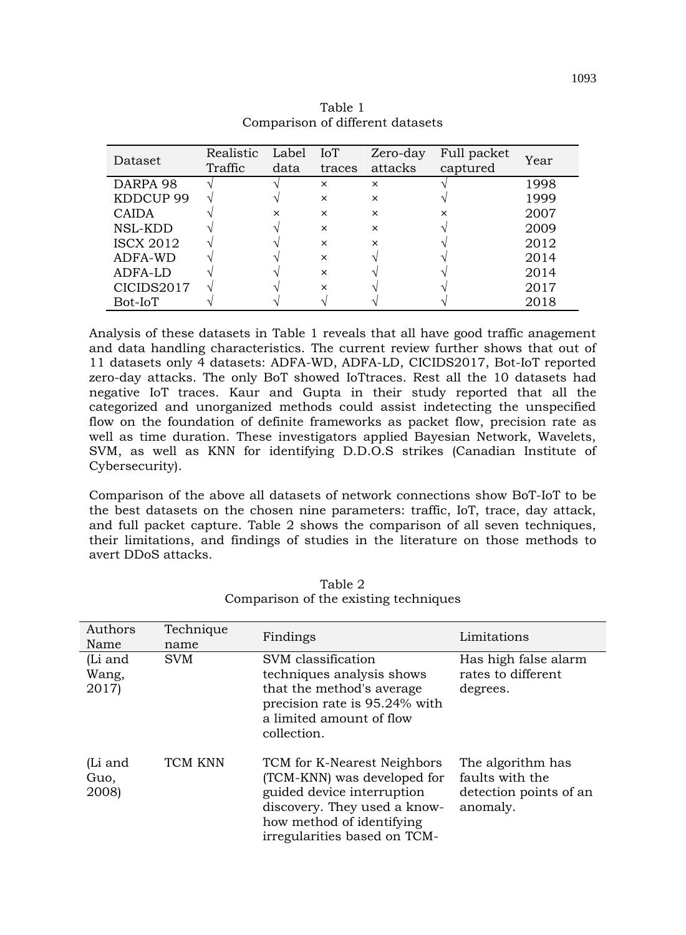| Dataset          | Realistic<br>Traffic | Label<br>data | IoT<br>traces | Zero-day<br>attacks | Full packet<br>captured | Year |
|------------------|----------------------|---------------|---------------|---------------------|-------------------------|------|
| DARPA 98         |                      |               | $\times$      | $\times$            |                         | 1998 |
| KDDCUP 99        |                      |               | $\times$      | $\times$            |                         | 1999 |
| <b>CAIDA</b>     |                      | $\times$      | $\times$      | $\times$            | ×                       | 2007 |
| NSL-KDD          |                      |               | $\times$      | $\times$            |                         | 2009 |
| <b>ISCX 2012</b> |                      |               | $\times$      | $\times$            |                         | 2012 |
| ADFA-WD          |                      |               | $\times$      |                     |                         | 2014 |
| ADFA-LD          |                      |               | $\times$      |                     |                         | 2014 |
| CICIDS2017       |                      |               | ×             |                     |                         | 2017 |
| Bot-IoT          |                      |               |               |                     |                         | 2018 |

Table 1 Comparison of different datasets

Analysis of these datasets in Table 1 reveals that all have good traffic anagement and data handling characteristics. The current review further shows that out of 11 datasets only 4 datasets: ADFA-WD, ADFA-LD, CICIDS2017, Bot-IoT reported zero-day attacks. The only BoT showed IoTtraces. Rest all the 10 datasets had negative IoT traces. Kaur and Gupta in their study reported that all the categorized and unorganized methods could assist indetecting the unspecified flow on the foundation of definite frameworks as packet flow, precision rate as well as time duration. These investigators applied Bayesian Network, Wavelets, SVM, as well as KNN for identifying D.D.O.S strikes (Canadian Institute of Cybersecurity).

Comparison of the above all datasets of network connections show BoT-IoT to be the best datasets on the chosen nine parameters: traffic, IoT, trace, day attack, and full packet capture. Table 2 shows the comparison of all seven techniques, their limitations, and findings of studies in the literature on those methods to avert DDoS attacks.

| Authors<br>Name           | Technique<br>name | Findings                                                                                                                                                                              | Limitations                                                                |
|---------------------------|-------------------|---------------------------------------------------------------------------------------------------------------------------------------------------------------------------------------|----------------------------------------------------------------------------|
| (Li and<br>Wang,<br>2017) | <b>SVM</b>        | SVM classification<br>techniques analysis shows<br>that the method's average<br>precision rate is 95.24% with<br>a limited amount of flow<br>collection.                              | Has high false alarm<br>rates to different<br>degrees.                     |
| (Li and<br>Guo,<br>2008)  | TCM KNN           | TCM for K-Nearest Neighbors<br>(TCM-KNN) was developed for<br>guided device interruption<br>discovery. They used a know-<br>how method of identifying<br>irregularities based on TCM- | The algorithm has<br>faults with the<br>detection points of an<br>anomaly. |

Table 2 Comparison of the existing techniques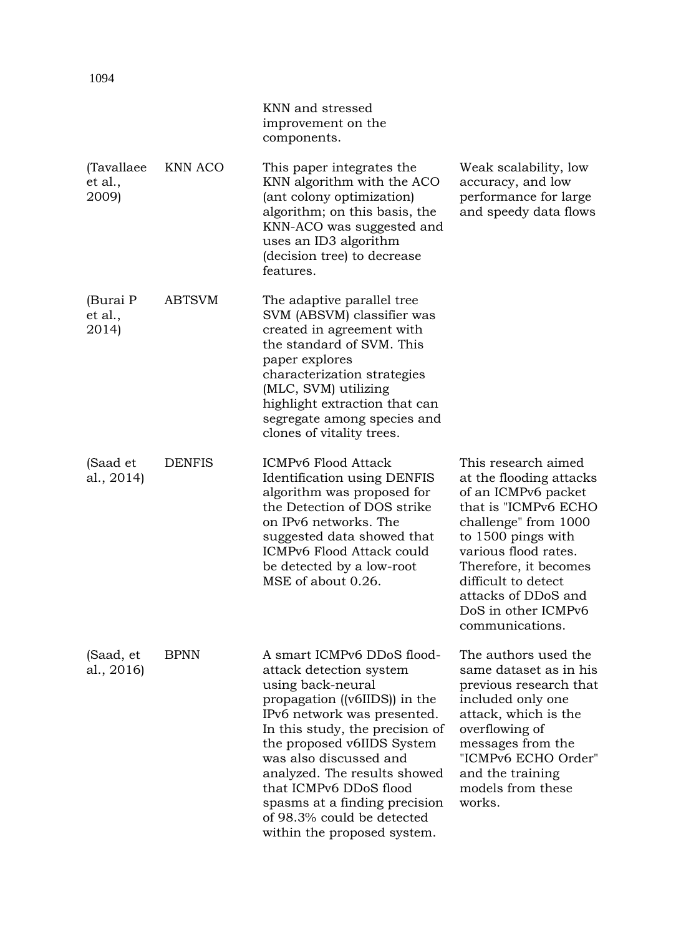|                                 |               | KNN and stressed<br>improvement on the<br>components.                                                                                                                                                                                                                                                                                                                                         |                                                                                                                                                                                                                                                                                      |
|---------------------------------|---------------|-----------------------------------------------------------------------------------------------------------------------------------------------------------------------------------------------------------------------------------------------------------------------------------------------------------------------------------------------------------------------------------------------|--------------------------------------------------------------------------------------------------------------------------------------------------------------------------------------------------------------------------------------------------------------------------------------|
| (Tavallaee)<br>et al.,<br>2009) | KNN ACO       | This paper integrates the<br>KNN algorithm with the ACO<br>(ant colony optimization)<br>algorithm; on this basis, the<br>KNN-ACO was suggested and<br>uses an ID3 algorithm<br>(decision tree) to decrease<br>features.                                                                                                                                                                       | Weak scalability, low<br>accuracy, and low<br>performance for large<br>and speedy data flows                                                                                                                                                                                         |
| (Burai P<br>et al.,<br>2014)    | <b>ABTSVM</b> | The adaptive parallel tree<br>SVM (ABSVM) classifier was<br>created in agreement with<br>the standard of SVM. This<br>paper explores<br>characterization strategies<br>(MLC, SVM) utilizing<br>highlight extraction that can<br>segregate among species and<br>clones of vitality trees.                                                                                                      |                                                                                                                                                                                                                                                                                      |
| (Saad et<br>al., 2014)          | <b>DENFIS</b> | ICMPv6 Flood Attack<br><b>Identification using DENFIS</b><br>algorithm was proposed for<br>the Detection of DOS strike<br>on IPv6 networks. The<br>suggested data showed that<br>ICMPv6 Flood Attack could<br>be detected by a low-root<br>MSE of about 0.26.                                                                                                                                 | This research aimed<br>at the flooding attacks<br>of an ICMPv6 packet<br>that is "ICMPv6 ECHO<br>challenge" from 1000<br>to 1500 pings with<br>various flood rates.<br>Therefore, it becomes<br>difficult to detect<br>attacks of DDoS and<br>DoS in other ICMPv6<br>communications. |
| (Saad, et<br>al., 2016)         | <b>BPNN</b>   | A smart ICMPv6 DDoS flood-<br>attack detection system<br>using back-neural<br>propagation ((v6IIDS)) in the<br>IPv6 network was presented.<br>In this study, the precision of<br>the proposed v6IIDS System<br>was also discussed and<br>analyzed. The results showed<br>that ICMPv6 DDoS flood<br>spasms at a finding precision<br>of 98.3% could be detected<br>within the proposed system. | The authors used the<br>same dataset as in his<br>previous research that<br>included only one<br>attack, which is the<br>overflowing of<br>messages from the<br>"ICMPv6 ECHO Order"<br>and the training<br>models from these<br>works.                                               |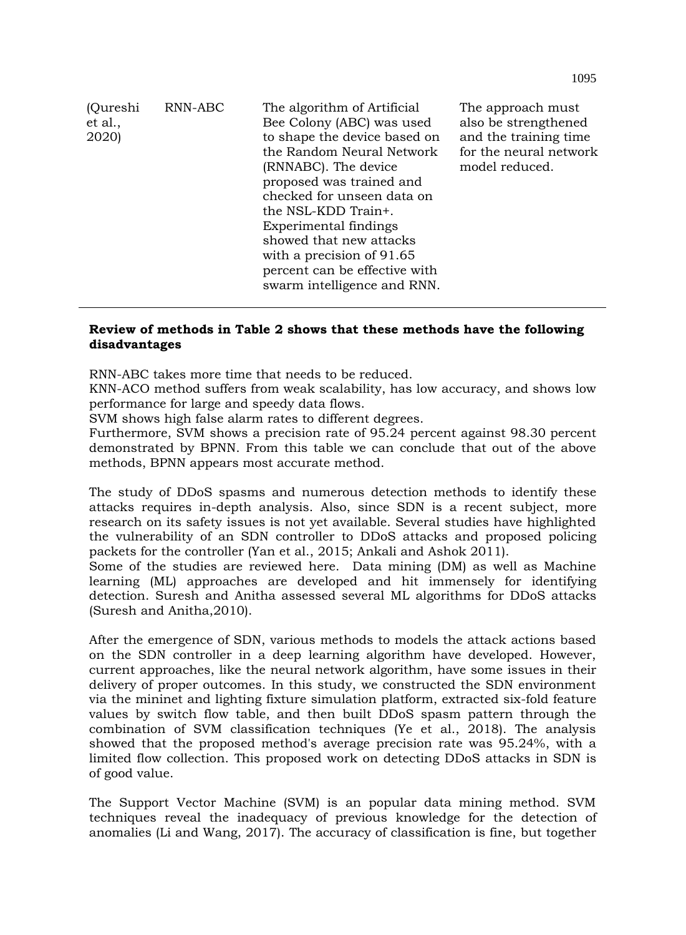| (Qureshi<br>et al.,<br>2020) | RNN-ABC | The algorithm of Artificial<br>Bee Colony (ABC) was used<br>to shape the device based on<br>the Random Neural Network<br>(RNNABC). The device<br>proposed was trained and<br>checked for unseen data on<br>the NSL-KDD Train+.<br>Experimental findings<br>showed that new attacks<br>with a precision of 91.65<br>percent can be effective with<br>swarm intelligence and RNN. | The approach must<br>also be strengthened<br>and the training time.<br>for the neural network<br>model reduced. |
|------------------------------|---------|---------------------------------------------------------------------------------------------------------------------------------------------------------------------------------------------------------------------------------------------------------------------------------------------------------------------------------------------------------------------------------|-----------------------------------------------------------------------------------------------------------------|
|------------------------------|---------|---------------------------------------------------------------------------------------------------------------------------------------------------------------------------------------------------------------------------------------------------------------------------------------------------------------------------------------------------------------------------------|-----------------------------------------------------------------------------------------------------------------|

## **Review of methods in Table 2 shows that these methods have the following disadvantages**

RNN-ABC takes more time that needs to be reduced.

KNN-ACO method suffers from weak scalability, has low accuracy, and shows low performance for large and speedy data flows.

SVM shows high false alarm rates to different degrees.

Furthermore, SVM shows a precision rate of 95.24 percent against 98.30 percent demonstrated by BPNN. From this table we can conclude that out of the above methods, BPNN appears most accurate method.

The study of DDoS spasms and numerous detection methods to identify these attacks requires in-depth analysis. Also, since SDN is a recent subject, more research on its safety issues is not yet available. Several studies have highlighted the vulnerability of an SDN controller to DDoS attacks and proposed policing packets for the controller (Yan et al., 2015; Ankali and Ashok 2011).

Some of the studies are reviewed here. Data mining (DM) as well as Machine learning (ML) approaches are developed and hit immensely for identifying detection. Suresh and Anitha assessed several ML algorithms for DDoS attacks (Suresh and Anitha,2010).

After the emergence of SDN, various methods to models the attack actions based on the SDN controller in a deep learning algorithm have developed. However, current approaches, like the neural network algorithm, have some issues in their delivery of proper outcomes. In this study, we constructed the SDN environment via the mininet and lighting fixture simulation platform, extracted six-fold feature values by switch flow table, and then built DDoS spasm pattern through the combination of SVM classification techniques (Ye et al., 2018). The analysis showed that the proposed method's average precision rate was 95.24%, with a limited flow collection. This proposed work on detecting DDoS attacks in SDN is of good value.

The Support Vector Machine (SVM) is an popular data mining method. SVM techniques reveal the inadequacy of previous knowledge for the detection of anomalies (Li and Wang, 2017). The accuracy of classification is fine, but together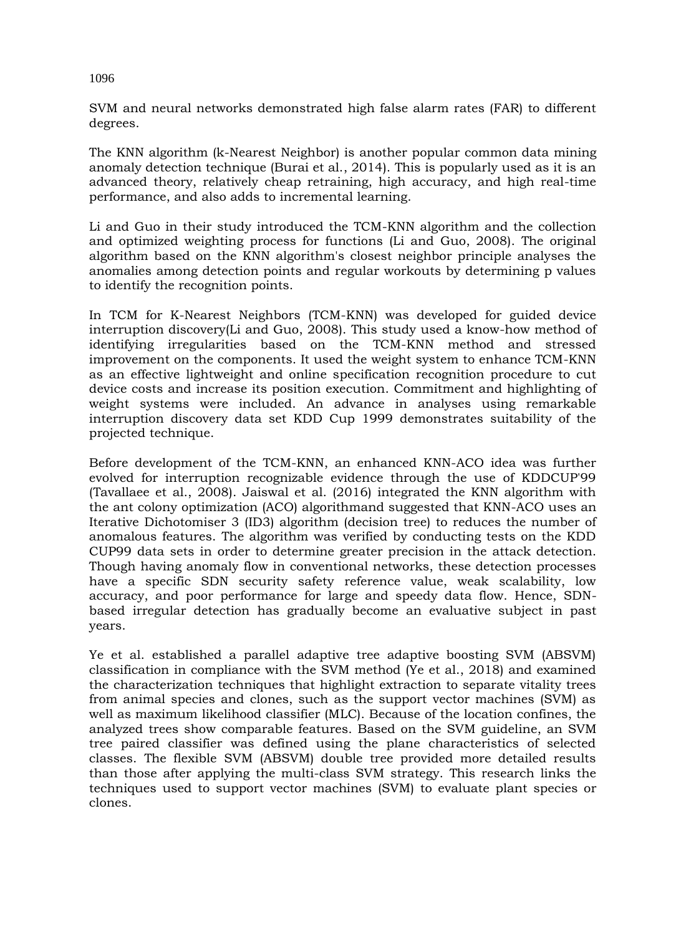SVM and neural networks demonstrated high false alarm rates (FAR) to different degrees.

The KNN algorithm (k-Nearest Neighbor) is another popular common data mining anomaly detection technique (Burai et al., 2014). This is popularly used as it is an advanced theory, relatively cheap retraining, high accuracy, and high real-time performance, and also adds to incremental learning.

Li and Guo in their study introduced the TCM-KNN algorithm and the collection and optimized weighting process for functions (Li and Guo, 2008). The original algorithm based on the KNN algorithm's closest neighbor principle analyses the anomalies among detection points and regular workouts by determining p values to identify the recognition points.

In TCM for K-Nearest Neighbors (TCM-KNN) was developed for guided device interruption discovery(Li and Guo, 2008). This study used a know-how method of identifying irregularities based on the TCM-KNN method and stressed improvement on the components. It used the weight system to enhance TCM-KNN as an effective lightweight and online specification recognition procedure to cut device costs and increase its position execution. Commitment and highlighting of weight systems were included. An advance in analyses using remarkable interruption discovery data set KDD Cup 1999 demonstrates suitability of the projected technique.

Before development of the TCM-KNN, an enhanced KNN-ACO idea was further evolved for interruption recognizable evidence through the use of KDDCUP'99 (Tavallaee et al., 2008). Jaiswal et al. (2016) integrated the KNN algorithm with the ant colony optimization (ACO) algorithmand suggested that KNN-ACO uses an Iterative Dichotomiser 3 (ID3) algorithm (decision tree) to reduces the number of anomalous features. The algorithm was verified by conducting tests on the KDD CUP99 data sets in order to determine greater precision in the attack detection. Though having anomaly flow in conventional networks, these detection processes have a specific SDN security safety reference value, weak scalability, low accuracy, and poor performance for large and speedy data flow. Hence, SDNbased irregular detection has gradually become an evaluative subject in past years.

Ye et al. established a parallel adaptive tree adaptive boosting SVM (ABSVM) classification in compliance with the SVM method (Ye et al., 2018) and examined the characterization techniques that highlight extraction to separate vitality trees from animal species and clones, such as the support vector machines (SVM) as well as maximum likelihood classifier (MLC). Because of the location confines, the analyzed trees show comparable features. Based on the SVM guideline, an SVM tree paired classifier was defined using the plane characteristics of selected classes. The flexible SVM (ABSVM) double tree provided more detailed results than those after applying the multi-class SVM strategy. This research links the techniques used to support vector machines (SVM) to evaluate plant species or clones.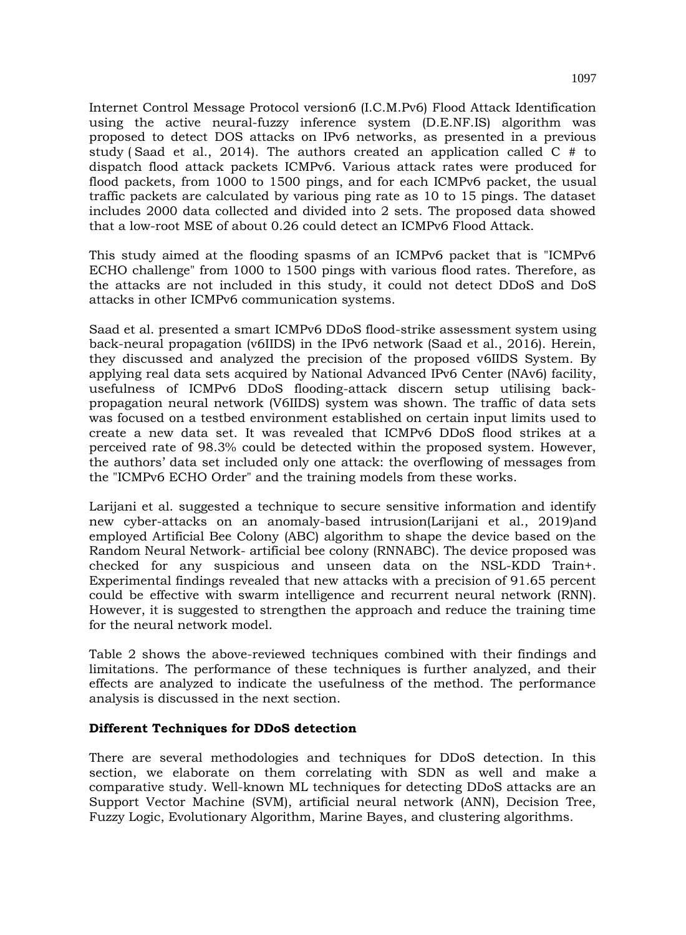Internet Control Message Protocol version6 (I.C.M.Pv6) Flood Attack Identification using the active neural-fuzzy inference system (D.E.NF.IS) algorithm was proposed to detect DOS attacks on IPv6 networks, as presented in a previous study ( Saad et al., 2014). The authors created an application called C # to dispatch flood attack packets ICMPv6. Various attack rates were produced for flood packets, from 1000 to 1500 pings, and for each ICMPv6 packet, the usual traffic packets are calculated by various ping rate as 10 to 15 pings. The dataset includes 2000 data collected and divided into 2 sets. The proposed data showed that a low-root MSE of about 0.26 could detect an ICMPv6 Flood Attack.

This study aimed at the flooding spasms of an ICMPv6 packet that is "ICMPv6 ECHO challenge" from 1000 to 1500 pings with various flood rates. Therefore, as the attacks are not included in this study, it could not detect DDoS and DoS attacks in other ICMPv6 communication systems.

Saad et al. presented a smart ICMPv6 DDoS flood-strike assessment system using back-neural propagation (v6IIDS) in the IPv6 network (Saad et al., 2016). Herein, they discussed and analyzed the precision of the proposed v6IIDS System. By applying real data sets acquired by National Advanced IPv6 Center (NAv6) facility, usefulness of ICMPv6 DDoS flooding-attack discern setup utilising backpropagation neural network (V6IIDS) system was shown. The traffic of data sets was focused on a testbed environment established on certain input limits used to create a new data set. It was revealed that ICMPv6 DDoS flood strikes at a perceived rate of 98.3% could be detected within the proposed system. However, the authors' data set included only one attack: the overflowing of messages from the "ICMPv6 ECHO Order" and the training models from these works.

Larijani et al. suggested a technique to secure sensitive information and identify new cyber-attacks on an anomaly-based intrusion(Larijani et al., 2019)and employed Artificial Bee Colony (ABC) algorithm to shape the device based on the Random Neural Network- artificial bee colony (RNNABC). The device proposed was checked for any suspicious and unseen data on the NSL-KDD Train+. Experimental findings revealed that new attacks with a precision of 91.65 percent could be effective with swarm intelligence and recurrent neural network (RNN). However, it is suggested to strengthen the approach and reduce the training time for the neural network model.

Table 2 shows the above-reviewed techniques combined with their findings and limitations. The performance of these techniques is further analyzed, and their effects are analyzed to indicate the usefulness of the method. The performance analysis is discussed in the next section.

## **Different Techniques for DDoS detection**

There are several methodologies and techniques for DDoS detection. In this section, we elaborate on them correlating with SDN as well and make a comparative study. Well-known ML techniques for detecting DDoS attacks are an Support Vector Machine (SVM), artificial neural network (ANN), Decision Tree, Fuzzy Logic, Evolutionary Algorithm, Marine Bayes, and clustering algorithms.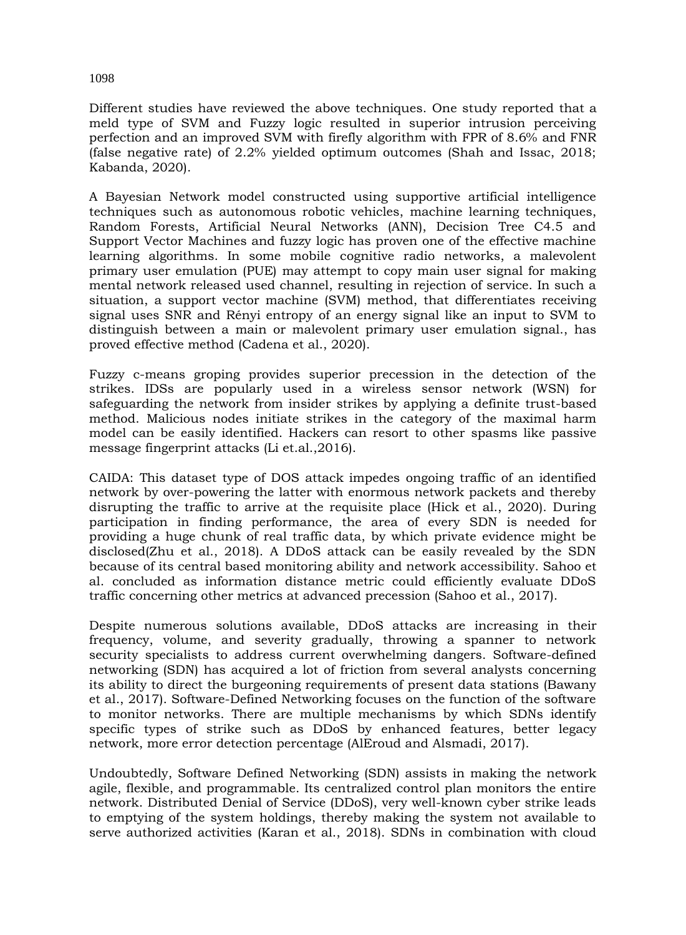Different studies have reviewed the above techniques. One study reported that a meld type of SVM and Fuzzy logic resulted in superior intrusion perceiving perfection and an improved SVM with firefly algorithm with FPR of 8.6% and FNR (false negative rate) of 2.2% yielded optimum outcomes (Shah and Issac, 2018; Kabanda, 2020).

A Bayesian Network model constructed using supportive artificial intelligence techniques such as autonomous robotic vehicles, machine learning techniques, Random Forests, Artificial Neural Networks (ANN), Decision Tree C4.5 and Support Vector Machines and fuzzy logic has proven one of the effective machine learning algorithms. In some mobile cognitive radio networks, a malevolent primary user emulation (PUE) may attempt to copy main user signal for making mental network released used channel, resulting in rejection of service. In such a situation, a support vector machine (SVM) method, that differentiates receiving signal uses SNR and Rényi entropy of an energy signal like an input to SVM to distinguish between a main or malevolent primary user emulation signal., has proved effective method (Cadena et al., 2020).

Fuzzy c-means groping provides superior precession in the detection of the strikes. IDSs are popularly used in a wireless sensor network (WSN) for safeguarding the network from insider strikes by applying a definite trust-based method. Malicious nodes initiate strikes in the category of the maximal harm model can be easily identified. Hackers can resort to other spasms like passive message fingerprint attacks (Li et.al.,2016).

CAIDA: This dataset type of DOS attack impedes ongoing traffic of an identified network by over-powering the latter with enormous network packets and thereby disrupting the traffic to arrive at the requisite place (Hick et al., 2020). During participation in finding performance, the area of every SDN is needed for providing a huge chunk of real traffic data, by which private evidence might be disclosed(Zhu et al., 2018). A DDoS attack can be easily revealed by the SDN because of its central based monitoring ability and network accessibility. Sahoo et al. concluded as information distance metric could efficiently evaluate DDoS traffic concerning other metrics at advanced precession (Sahoo et al., 2017).

Despite numerous solutions available, DDoS attacks are increasing in their frequency, volume, and severity gradually, throwing a spanner to network security specialists to address current overwhelming dangers. Software-defined networking (SDN) has acquired a lot of friction from several analysts concerning its ability to direct the burgeoning requirements of present data stations (Bawany et al., 2017). Software-Defined Networking focuses on the function of the software to monitor networks. There are multiple mechanisms by which SDNs identify specific types of strike such as DDoS by enhanced features, better legacy network, more error detection percentage (AlEroud and Alsmadi, 2017).

Undoubtedly, Software Defined Networking (SDN) assists in making the network agile, flexible, and programmable. Its centralized control plan monitors the entire network. Distributed Denial of Service (DDoS), very well-known cyber strike leads to emptying of the system holdings, thereby making the system not available to serve authorized activities (Karan et al., 2018). SDNs in combination with cloud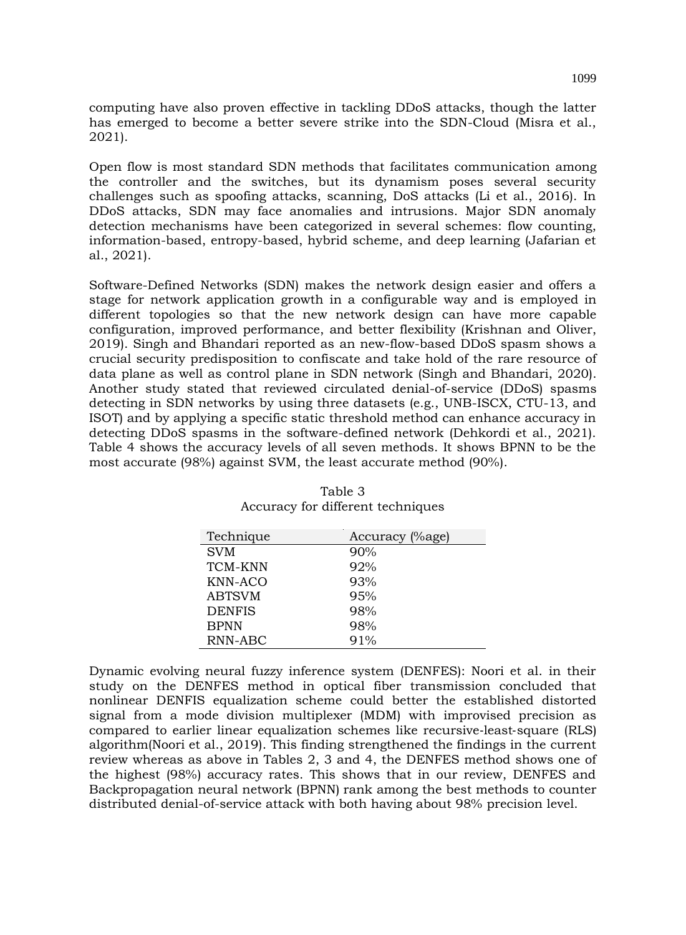computing have also proven effective in tackling DDoS attacks, though the latter has emerged to become a better severe strike into the SDN-Cloud (Misra et al., 2021).

Open flow is most standard SDN methods that facilitates communication among the controller and the switches, but its dynamism poses several security challenges such as spoofing attacks, scanning, DoS attacks (Li et al., 2016). In DDoS attacks, SDN may face anomalies and intrusions. Major SDN anomaly detection mechanisms have been categorized in several schemes: flow counting, information-based, entropy-based, hybrid scheme, and deep learning (Jafarian et al., 2021).

Software-Defined Networks (SDN) makes the network design easier and offers a stage for network application growth in a configurable way and is employed in different topologies so that the new network design can have more capable configuration, improved performance, and better flexibility (Krishnan and Oliver, 2019). Singh and Bhandari reported as an new-flow-based DDoS spasm shows a crucial security predisposition to confiscate and take hold of the rare resource of data plane as well as control plane in SDN network (Singh and Bhandari, 2020). Another study stated that reviewed circulated denial-of-service (DDoS) spasms detecting in SDN networks by using three datasets (e.g., UNB-ISCX, CTU-13, and ISOT) and by applying a specific static threshold method can enhance accuracy in detecting DDoS spasms in the software-defined network (Dehkordi et al., 2021). Table 4 shows the accuracy levels of all seven methods. It shows BPNN to be the most accurate (98%) against SVM, the least accurate method (90%).

| Technique      | Accuracy (%age) |
|----------------|-----------------|
| <b>SVM</b>     | 90%             |
| <b>TCM-KNN</b> | 92%             |
| KNN-ACO        | 93%             |
| <b>ABTSVM</b>  | 95%             |
| <b>DENFIS</b>  | 98%             |
| <b>BPNN</b>    | 98%             |
| RNN-ABC        | 91%             |

Table 3 Accuracy for different techniques

Dynamic evolving neural fuzzy inference system (DENFES): Noori et al. in their study on the DENFES method in optical fiber transmission concluded that nonlinear DENFIS equalization scheme could better the established distorted signal from a mode division multiplexer (MDM) with improvised precision as compared to earlier linear equalization schemes like recursive‐least‐square (RLS) algorithm(Noori et al., 2019). This finding strengthened the findings in the current review whereas as above in Tables 2, 3 and 4, the DENFES method shows one of the highest (98%) accuracy rates. This shows that in our review, DENFES and Backpropagation neural network (BPNN) rank among the best methods to counter distributed denial-of-service attack with both having about 98% precision level.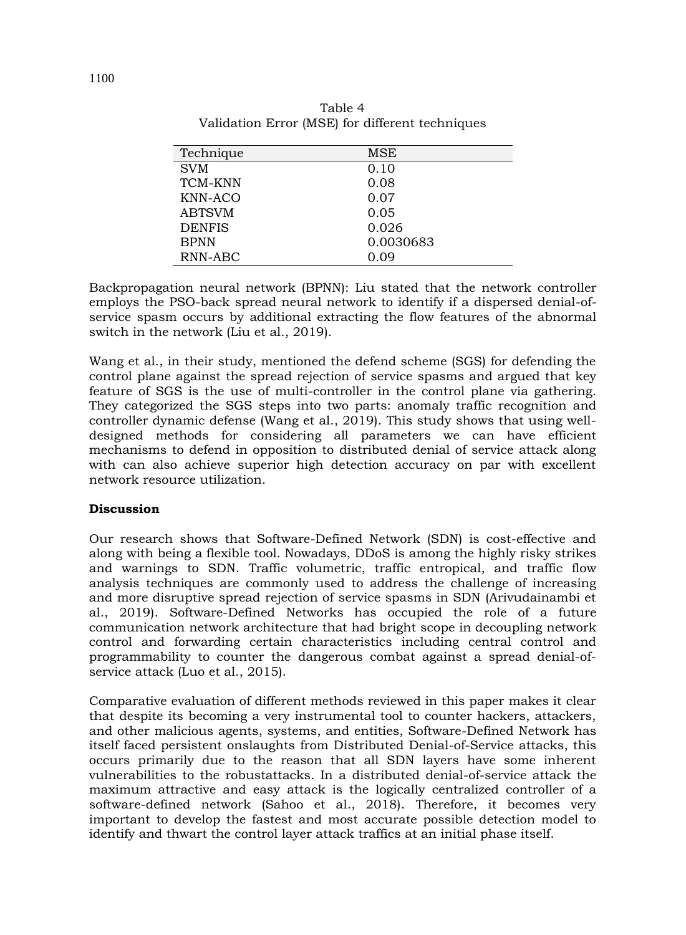| Technique      | MSE       |
|----------------|-----------|
| <b>SVM</b>     | 0.10      |
| <b>TCM-KNN</b> | 0.08      |
| KNN-ACO        | 0.07      |
| <b>ABTSVM</b>  | 0.05      |
| <b>DENFIS</b>  | 0.026     |
| <b>BPNN</b>    | 0.0030683 |
| RNN-ABC        | 0.09      |

Table 4 Validation Error (MSE) for different techniques

Backpropagation neural network (BPNN): Liu stated that the network controller employs the PSO-back spread neural network to identify if a dispersed denial-ofservice spasm occurs by additional extracting the flow features of the abnormal switch in the network (Liu et al., 2019).

Wang et al., in their study, mentioned the defend scheme (SGS) for defending the control plane against the spread rejection of service spasms and argued that key feature of SGS is the use of multi-controller in the control plane via gathering. They categorized the SGS steps into two parts: anomaly traffic recognition and controller dynamic defense (Wang et al., 2019). This study shows that using welldesigned methods for considering all parameters we can have efficient mechanisms to defend in opposition to distributed denial of service attack along with can also achieve superior high detection accuracy on par with excellent network resource utilization.

## **Discussion**

Our research shows that Software-Defined Network (SDN) is cost-effective and along with being a flexible tool. Nowadays, DDoS is among the highly risky strikes and warnings to SDN. Traffic volumetric, traffic entropical, and traffic flow analysis techniques are commonly used to address the challenge of increasing and more disruptive spread rejection of service spasms in SDN (Arivudainambi et al., 2019). Software-Defined Networks has occupied the role of a future communication network architecture that had bright scope in decoupling network control and forwarding certain characteristics including central control and programmability to counter the dangerous combat against a spread denial-ofservice attack (Luo et al., 2015).

Comparative evaluation of different methods reviewed in this paper makes it clear that despite its becoming a very instrumental tool to counter hackers, attackers, and other malicious agents, systems, and entities, Software-Defined Network has itself faced persistent onslaughts from Distributed Denial-of-Service attacks, this occurs primarily due to the reason that all SDN layers have some inherent vulnerabilities to the robustattacks. In a distributed denial-of-service attack the maximum attractive and easy attack is the logically centralized controller of a software-defined network (Sahoo et al., 2018). Therefore, it becomes very important to develop the fastest and most accurate possible detection model to identify and thwart the control layer attack traffics at an initial phase itself.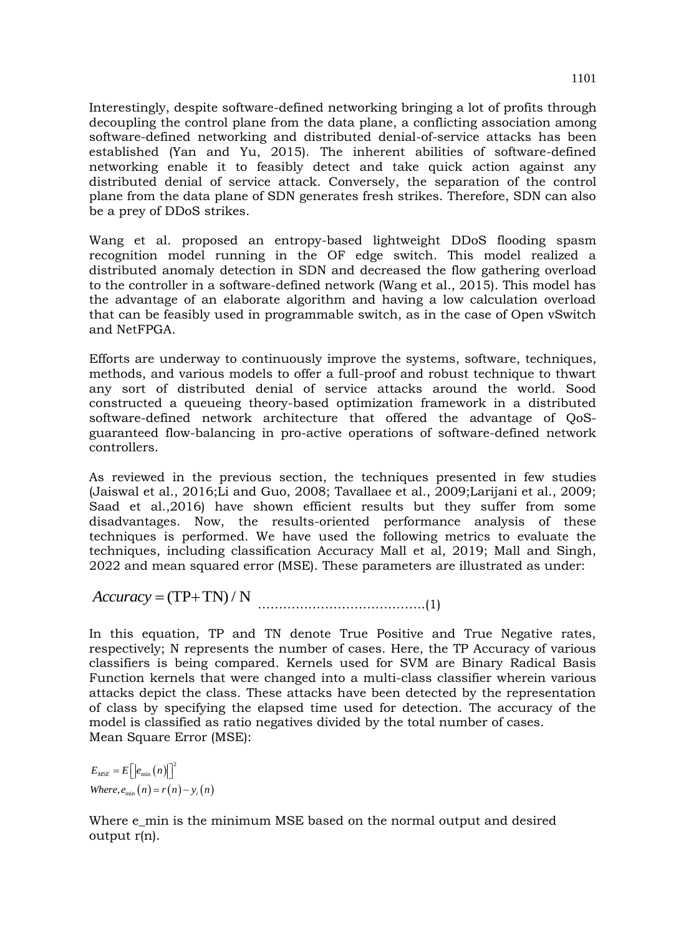Interestingly, despite software-defined networking bringing a lot of profits through decoupling the control plane from the data plane, a conflicting association among software-defined networking and distributed denial-of-service attacks has been established (Yan and Yu, 2015). The inherent abilities of software-defined networking enable it to feasibly detect and take quick action against any distributed denial of service attack. Conversely, the separation of the control plane from the data plane of SDN generates fresh strikes. Therefore, SDN can also be a prey of DDoS strikes.

Wang et al. proposed an entropy-based lightweight DDoS flooding spasm recognition model running in the OF edge switch. This model realized a distributed anomaly detection in SDN and decreased the flow gathering overload to the controller in a software-defined network (Wang et al., 2015). This model has the advantage of an elaborate algorithm and having a low calculation overload that can be feasibly used in programmable switch, as in the case of Open vSwitch and NetFPGA.

Efforts are underway to continuously improve the systems, software, techniques, methods, and various models to offer a full-proof and robust technique to thwart any sort of distributed denial of service attacks around the world. Sood constructed a queueing theory-based optimization framework in a distributed software-defined network architecture that offered the advantage of QoSguaranteed flow-balancing in pro-active operations of software-defined network controllers.

As reviewed in the previous section, the techniques presented in few studies (Jaiswal et al., 2016;Li and Guo, 2008; Tavallaee et al., 2009;Larijani et al., 2009; Saad et al.,2016) have shown efficient results but they suffer from some disadvantages. Now, the results-oriented performance analysis of these techniques is performed. We have used the following metrics to evaluate the techniques, including classification Accuracy Mall et al, 2019; Mall and Singh, 2022 and mean squared error (MSE). These parameters are illustrated as under:

*Accuracy* (TP TN) / N ………………………………….(1)

In this equation, TP and TN denote True Positive and True Negative rates, respectively; N represents the number of cases. Here, the TP Accuracy of various classifiers is being compared. Kernels used for SVM are Binary Radical Basis Function kernels that were changed into a multi-class classifier wherein various attacks depict the class. These attacks have been detected by the representation of class by specifying the elapsed time used for detection. The accuracy of the model is classified as ratio negatives divided by the total number of cases. Mean Square Error (MSE):

 $(n)\vert\vert^2$ *Where,*  $e_{\min}(n) = r(n) - y_i(n)$  $E_{\scriptscriptstyle{MSE}} = E\Big[\big|e_{\scriptscriptstyle{\min}}\big(n\big)\big|\Big]^2$ 

Where e\_min is the minimum MSE based on the normal output and desired output r(n).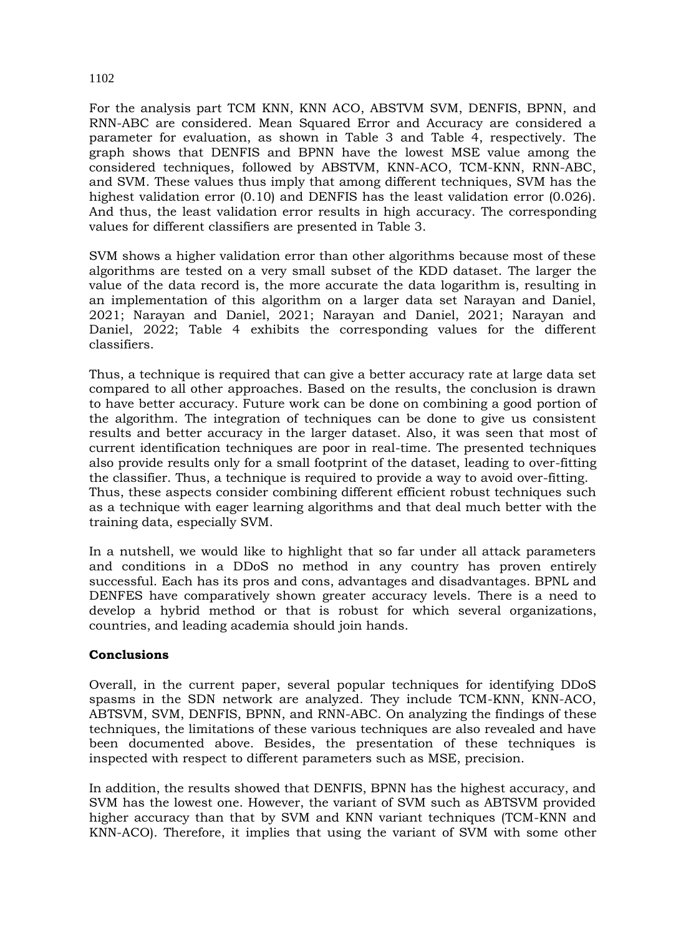For the analysis part TCM KNN, KNN ACO, ABSTVM SVM, DENFIS, BPNN, and RNN-ABC are considered. Mean Squared Error and Accuracy are considered a parameter for evaluation, as shown in Table 3 and Table 4, respectively. The graph shows that DENFIS and BPNN have the lowest MSE value among the considered techniques, followed by ABSTVM, KNN-ACO, TCM-KNN, RNN-ABC, and SVM. These values thus imply that among different techniques, SVM has the highest validation error (0.10) and DENFIS has the least validation error (0.026). And thus, the least validation error results in high accuracy. The corresponding values for different classifiers are presented in Table 3.

SVM shows a higher validation error than other algorithms because most of these algorithms are tested on a very small subset of the KDD dataset. The larger the value of the data record is, the more accurate the data logarithm is, resulting in an implementation of this algorithm on a larger data set Narayan and Daniel, 2021; Narayan and Daniel, 2021; Narayan and Daniel, 2021; Narayan and Daniel, 2022; Table 4 exhibits the corresponding values for the different classifiers.

Thus, a technique is required that can give a better accuracy rate at large data set compared to all other approaches. Based on the results, the conclusion is drawn to have better accuracy. Future work can be done on combining a good portion of the algorithm. The integration of techniques can be done to give us consistent results and better accuracy in the larger dataset. Also, it was seen that most of current identification techniques are poor in real-time. The presented techniques also provide results only for a small footprint of the dataset, leading to over-fitting the classifier. Thus, a technique is required to provide a way to avoid over-fitting. Thus, these aspects consider combining different efficient robust techniques such as a technique with eager learning algorithms and that deal much better with the training data, especially SVM.

In a nutshell, we would like to highlight that so far under all attack parameters and conditions in a DDoS no method in any country has proven entirely successful. Each has its pros and cons, advantages and disadvantages. BPNL and DENFES have comparatively shown greater accuracy levels. There is a need to develop a hybrid method or that is robust for which several organizations, countries, and leading academia should join hands.

## **Conclusions**

Overall, in the current paper, several popular techniques for identifying DDoS spasms in the SDN network are analyzed. They include TCM-KNN, KNN-ACO, ABTSVM, SVM, DENFIS, BPNN, and RNN-ABC. On analyzing the findings of these techniques, the limitations of these various techniques are also revealed and have been documented above. Besides, the presentation of these techniques is inspected with respect to different parameters such as MSE, precision.

In addition, the results showed that DENFIS, BPNN has the highest accuracy, and SVM has the lowest one. However, the variant of SVM such as ABTSVM provided higher accuracy than that by SVM and KNN variant techniques (TCM-KNN and KNN-ACO). Therefore, it implies that using the variant of SVM with some other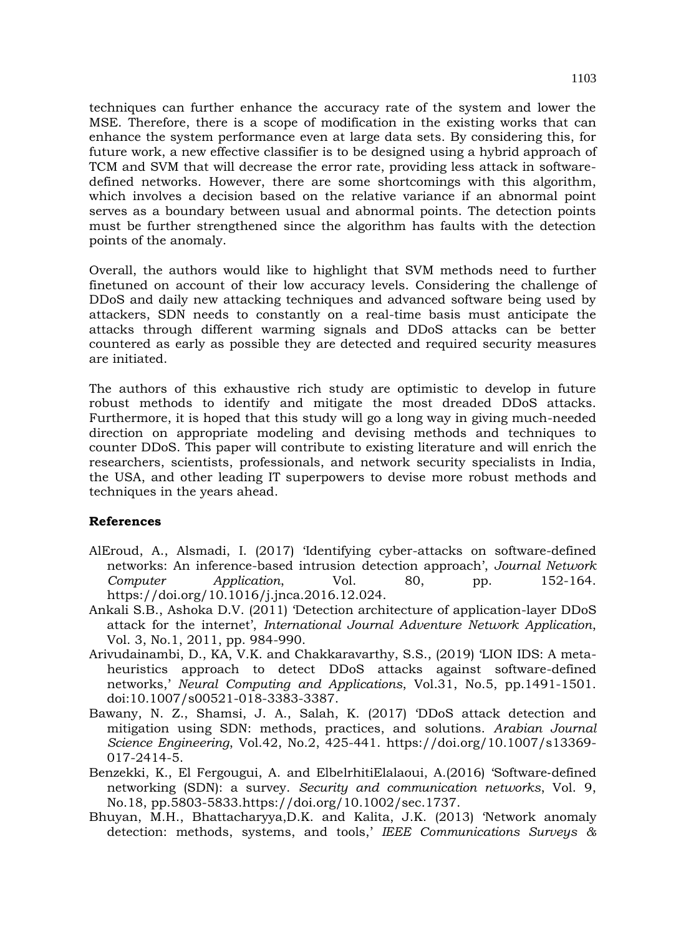techniques can further enhance the accuracy rate of the system and lower the MSE. Therefore, there is a scope of modification in the existing works that can enhance the system performance even at large data sets. By considering this, for future work, a new effective classifier is to be designed using a hybrid approach of TCM and SVM that will decrease the error rate, providing less attack in softwaredefined networks. However, there are some shortcomings with this algorithm, which involves a decision based on the relative variance if an abnormal point serves as a boundary between usual and abnormal points. The detection points must be further strengthened since the algorithm has faults with the detection points of the anomaly.

Overall, the authors would like to highlight that SVM methods need to further finetuned on account of their low accuracy levels. Considering the challenge of DDoS and daily new attacking techniques and advanced software being used by attackers, SDN needs to constantly on a real-time basis must anticipate the attacks through different warming signals and DDoS attacks can be better countered as early as possible they are detected and required security measures are initiated.

The authors of this exhaustive rich study are optimistic to develop in future robust methods to identify and mitigate the most dreaded DDoS attacks. Furthermore, it is hoped that this study will go a long way in giving much-needed direction on appropriate modeling and devising methods and techniques to counter DDoS. This paper will contribute to existing literature and will enrich the researchers, scientists, professionals, and network security specialists in India, the USA, and other leading IT superpowers to devise more robust methods and techniques in the years ahead.

### **References**

- AlEroud, A., Alsmadi, I. (2017) 'Identifying cyber-attacks on software-defined networks: An inference-based intrusion detection approach', *Journal Network Computer Application*, Vol. 80, pp. 152-164. https://doi.org/10.1016/j.jnca.2016.12.024.
- Ankali S.B., Ashoka D.V. (2011) 'Detection architecture of application-layer DDoS attack for the internet', *International Journal Adventure Network Application*, Vol. 3, No.1, 2011, pp. 984-990.
- Arivudainambi, D., KA, V.K. and Chakkaravarthy, S.S., (2019) 'LION IDS: A metaheuristics approach to detect DDoS attacks against software-defined networks,' *Neural Computing and Applications*, Vol.31, No.5, pp.1491-1501. doi:10.1007/s00521-018-3383-3387.
- Bawany, N. Z., Shamsi, J. A., Salah, K. (2017) 'DDoS attack detection and mitigation using SDN: methods, practices, and solutions. *Arabian Journal Science Engineering*, Vol.42, No.2, 425-441. https://doi.org/10.1007/s13369- 017-2414-5.
- Benzekki, K., El Fergougui, A. and ElbelrhitiElalaoui, A.(2016) 'Software‐defined networking (SDN): a survey. *Security and communication networks*, Vol. 9, No.18, pp.5803-5833.https://doi.org/10.1002/sec.1737.
- Bhuyan, M.H., Bhattacharyya,D.K. and Kalita, J.K. (2013) 'Network anomaly detection: methods, systems, and tools,' *IEEE Communications Surveys &*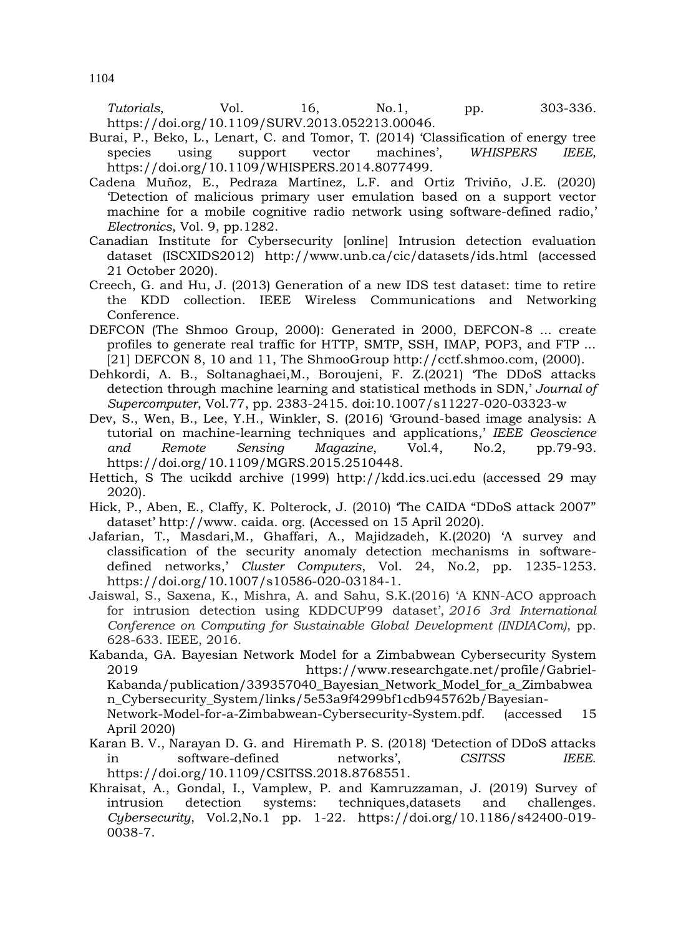*Tutorials*, Vol. 16, No.1, pp. 303-336. https://doi.org/10.1109/SURV.2013.052213.00046.

- Burai, P., Beko, L., Lenart, C. and Tomor, T. (2014) 'Classification of energy tree species using support vector machines', *WHISPERS IEEE,* https://doi.org/10.1109/WHISPERS.2014.8077499.
- Cadena Muñoz, E., Pedraza Martínez, L.F. and Ortiz Triviño, J.E. (2020) 'Detection of malicious primary user emulation based on a support vector machine for a mobile cognitive radio network using software-defined radio,' *Electronics*, Vol. 9, pp.1282.
- Canadian Institute for Cybersecurity [online] Intrusion detection evaluation dataset (ISCXIDS2012) http://www.unb.ca/cic/datasets/ids.html (accessed 21 October 2020).
- Creech, G. and Hu, J. (2013) Generation of a new IDS test dataset: time to retire the KDD collection. IEEE Wireless Communications and Networking Conference.
- DEFCON (The Shmoo Group, 2000): Generated in 2000, DEFCON-8 ... create profiles to generate real traffic for HTTP, SMTP, SSH, IMAP, POP3, and FTP ...  $[21]$  DEFCON 8, 10 and 11, The ShmooGroup http://cctf.shmoo.com, (2000).
- Dehkordi, A. B., Soltanaghaei,M., Boroujeni, F. Z.(2021) 'The DDoS attacks detection through machine learning and statistical methods in SDN,' *Journal of Supercomputer*, Vol.77, pp. 2383-2415. doi:10.1007/s11227-020-03323-w
- Dev, S., Wen, B., Lee, Y.H., Winkler, S. (2016) 'Ground-based image analysis: A tutorial on machine-learning techniques and applications,' *IEEE Geoscience and Remote Sensing Magazine*, Vol.4, No.2, pp.79-93. https://doi.org/10.1109/MGRS.2015.2510448.
- Hettich, S The ucikdd archive (1999) http://kdd.ics.uci.edu (accessed 29 may 2020).
- Hick, P., Aben, E., Claffy, K. Polterock, J. (2010) 'The CAIDA "DDoS attack 2007" dataset' http://www. caida. org. (Accessed on 15 April 2020).
- Jafarian, T., Masdari,M., Ghaffari, A., Majidzadeh, K.(2020) 'A survey and classification of the security anomaly detection mechanisms in softwaredefined networks,' *Cluster Computers*, Vol. 24, No.2, pp. 1235-1253. https://doi.org/10.1007/s10586-020-03184-1.
- Jaiswal, S., Saxena, K., Mishra, A. and Sahu, S.K.(2016) 'A KNN-ACO approach for intrusion detection using KDDCUP'99 dataset', *2016 3rd International Conference on Computing for Sustainable Global Development (INDIACom)*, pp. 628-633. IEEE, 2016.

Kabanda, GA. Bayesian Network Model for a Zimbabwean Cybersecurity System 2019 https://www.researchgate.net/profile/Gabriel-Kabanda/publication/339357040\_Bayesian\_Network\_Model\_for\_a\_Zimbabwea n\_Cybersecurity\_System/links/5e53a9f4299bf1cdb945762b/Bayesian-Network-Model-for-a-Zimbabwean-Cybersecurity-System.pdf. (accessed 15 April 2020)

- Karan B. V., Narayan D. G. and Hiremath P. S. (2018) 'Detection of DDoS attacks in software-defined networks', *CSITSS IEEE*. https://doi.org/10.1109/CSITSS.2018.8768551.
- Khraisat, A., Gondal, I., Vamplew, P. and Kamruzzaman, J. (2019) Survey of intrusion detection systems: techniques,datasets and challenges. *Cybersecurity*, Vol.2,No.1 pp. 1-22. https://doi.org/10.1186/s42400-019- 0038-7.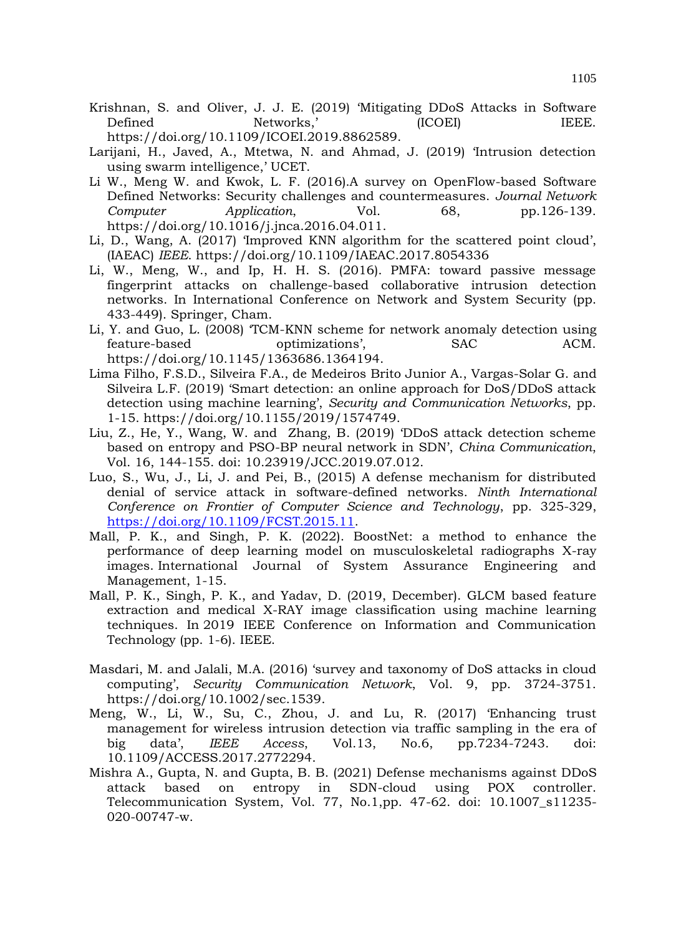- Krishnan, S. and Oliver, J. J. E. (2019) 'Mitigating DDoS Attacks in Software Defined Networks,' (ICOEI) IEEE. https://doi.org/10.1109/ICOEI.2019.8862589.
- Larijani, H., Javed, A., Mtetwa, N. and Ahmad, J. (2019) 'Intrusion detection using swarm intelligence,' UCET.
- Li W., Meng W. and Kwok, L. F. (2016).A survey on OpenFlow-based Software Defined Networks: Security challenges and countermeasures. *Journal Network Computer Application*, Vol. 68, pp.126-139. https://doi.org/10.1016/j.jnca.2016.04.011.
- Li, D., Wang, A. (2017) 'Improved KNN algorithm for the scattered point cloud', (IAEAC) *IEEE*. https://doi.org/10.1109/IAEAC.2017.8054336
- Li, W., Meng, W., and Ip, H. H. S. (2016). PMFA: toward passive message fingerprint attacks on challenge-based collaborative intrusion detection networks. In International Conference on Network and System Security (pp. 433-449). Springer, Cham.
- Li, Y. and Guo, L. (2008) 'TCM-KNN scheme for network anomaly detection using feature-based optimizations', SAC ACM. https://doi.org/10.1145/1363686.1364194.
- Lima Filho, F.S.D., Silveira F.A., de Medeiros Brito Junior A., Vargas-Solar G. and Silveira L.F. (2019) 'Smart detection: an online approach for DoS/DDoS attack detection using machine learning', *Security and Communication Networks*, pp. 1-15. https://doi.org/10.1155/2019/1574749.
- Liu, Z., He, Y., Wang, W. and Zhang, B. (2019) 'DDoS attack detection scheme based on entropy and PSO-BP neural network in SDN', *China Communication*, Vol. 16, 144-155. doi: 10.23919/JCC.2019.07.012.
- Luo, S., Wu, J., Li, J. and Pei, B., (2015) A defense mechanism for distributed denial of service attack in software-defined networks. *Ninth International Conference on Frontier of Computer Science and Technology*, pp. 325-329, [https://doi.org/10.1109/FCST.2015.11.](https://doi.org/10.1109/FCST.2015.11)
- Mall, P. K., and Singh, P. K. (2022). BoostNet: a method to enhance the performance of deep learning model on musculoskeletal radiographs X-ray images. International Journal of System Assurance Engineering and Management, 1-15.
- Mall, P. K., Singh, P. K., and Yadav, D. (2019, December). GLCM based feature extraction and medical X-RAY image classification using machine learning techniques. In 2019 IEEE Conference on Information and Communication Technology (pp. 1-6). IEEE.
- Masdari, M. and Jalali, M.A. (2016) 'survey and taxonomy of DoS attacks in cloud computing', *Security Communication Network*, Vol. 9, pp. 3724-3751. https://doi.org/10.1002/sec.1539.
- Meng, W., Li, W., Su, C., Zhou, J. and Lu, R. (2017) 'Enhancing trust management for wireless intrusion detection via traffic sampling in the era of big data', *IEEE Access*, Vol.13, No.6, pp.7234-7243. doi: 10.1109/ACCESS.2017.2772294.
- Mishra A., Gupta, N. and Gupta, B. B. (2021) Defense mechanisms against DDoS attack based on entropy in SDN-cloud using POX controller. Telecommunication System, Vol. 77, No.1,pp. 47-62. doi: 10.1007\_s11235- 020-00747-w.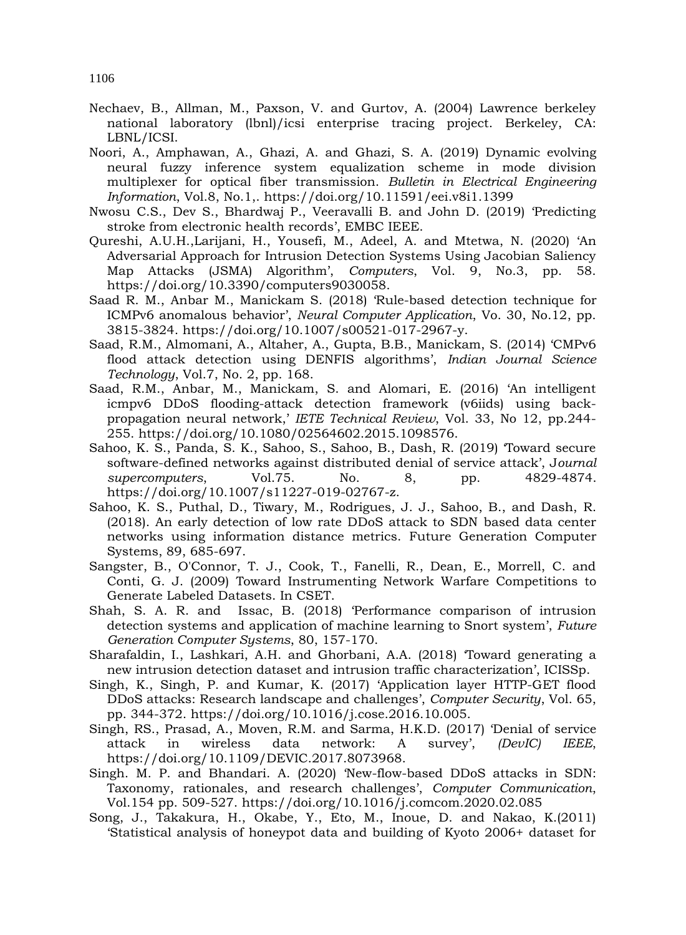Nechaev, B., Allman, M., Paxson, V. and Gurtov, A. (2004) Lawrence berkeley national laboratory (lbnl)/icsi enterprise tracing project. Berkeley, CA: LBNL/ICSI.

- Noori, A., Amphawan, A., Ghazi, A. and Ghazi, S. A. (2019) Dynamic evolving neural fuzzy inference system equalization scheme in mode division multiplexer for optical fiber transmission. *Bulletin in Electrical Engineering Information*, Vol.8, No.1,. https://doi.org/10.11591/eei.v8i1.1399
- Nwosu C.S., Dev S., Bhardwaj P., Veeravalli B. and John D. (2019) 'Predicting stroke from electronic health records', EMBC IEEE.
- Qureshi, A.U.H.,Larijani, H., Yousefi, M., Adeel, A. and Mtetwa, N. (2020) 'An Adversarial Approach for Intrusion Detection Systems Using Jacobian Saliency Map Attacks (JSMA) Algorithm', *Computers*, Vol. 9, No.3, pp. 58. https://doi.org/10.3390/computers9030058.
- Saad R. M., Anbar M., Manickam S. (2018) 'Rule-based detection technique for ICMPv6 anomalous behavior', *Neural Computer Application*, Vo. 30, No.12, pp. 3815-3824. https://doi.org/10.1007/s00521-017-2967-y.
- Saad, R.M., Almomani, A., Altaher, A., Gupta, B.B., Manickam, S. (2014) 'CMPv6 flood attack detection using DENFIS algorithms', *Indian Journal Science Technology*, Vol.7, No. 2, pp. 168.
- Saad, R.M., Anbar, M., Manickam, S. and Alomari, E. (2016) 'An intelligent icmpv6 DDoS flooding-attack detection framework (v6iids) using backpropagation neural network,' *IETE Technical Review*, Vol. 33, No 12, pp.244- 255. https://doi.org/10.1080/02564602.2015.1098576.
- Sahoo, K. S., Panda, S. K., Sahoo, S., Sahoo, B., Dash, R. (2019) 'Toward secure software-defined networks against distributed denial of service attack', J*ournal supercomputers*, Vol.75. No. 8, pp. 4829-4874. https://doi.org/10.1007/s11227-019-02767-z.
- Sahoo, K. S., Puthal, D., Tiwary, M., Rodrigues, J. J., Sahoo, B., and Dash, R. (2018). An early detection of low rate DDoS attack to SDN based data center networks using information distance metrics. Future Generation Computer Systems, 89, 685-697.
- Sangster, B., O'Connor, T. J., Cook, T., Fanelli, R., Dean, E., Morrell, C. and Conti, G. J. (2009) Toward Instrumenting Network Warfare Competitions to Generate Labeled Datasets. In CSET.
- Shah, S. A. R. and Issac, B. (2018) 'Performance comparison of intrusion detection systems and application of machine learning to Snort system', *Future Generation Computer Systems*, 80, 157-170.
- Sharafaldin, I., Lashkari, A.H. and Ghorbani, A.A. (2018) 'Toward generating a new intrusion detection dataset and intrusion traffic characterization', ICISSp.
- Singh, K., Singh, P. and Kumar, K. (2017) 'Application layer HTTP-GET flood DDoS attacks: Research landscape and challenges', *Computer Security*, Vol. 65, pp. 344-372. https://doi.org/10.1016/j.cose.2016.10.005.
- Singh, RS., Prasad, A., Moven, R.M. and Sarma, H.K.D. (2017) 'Denial of service attack in wireless data network: A survey', *(DevIC) IEEE*, https://doi.org/10.1109/DEVIC.2017.8073968.
- Singh. M. P. and Bhandari. A. (2020) 'New-flow-based DDoS attacks in SDN: Taxonomy, rationales, and research challenges', *Computer Communication*, Vol.154 pp. 509-527. https://doi.org/10.1016/j.comcom.2020.02.085
- Song, J., Takakura, H., Okabe, Y., Eto, M., Inoue, D. and Nakao, K.(2011) 'Statistical analysis of honeypot data and building of Kyoto 2006+ dataset for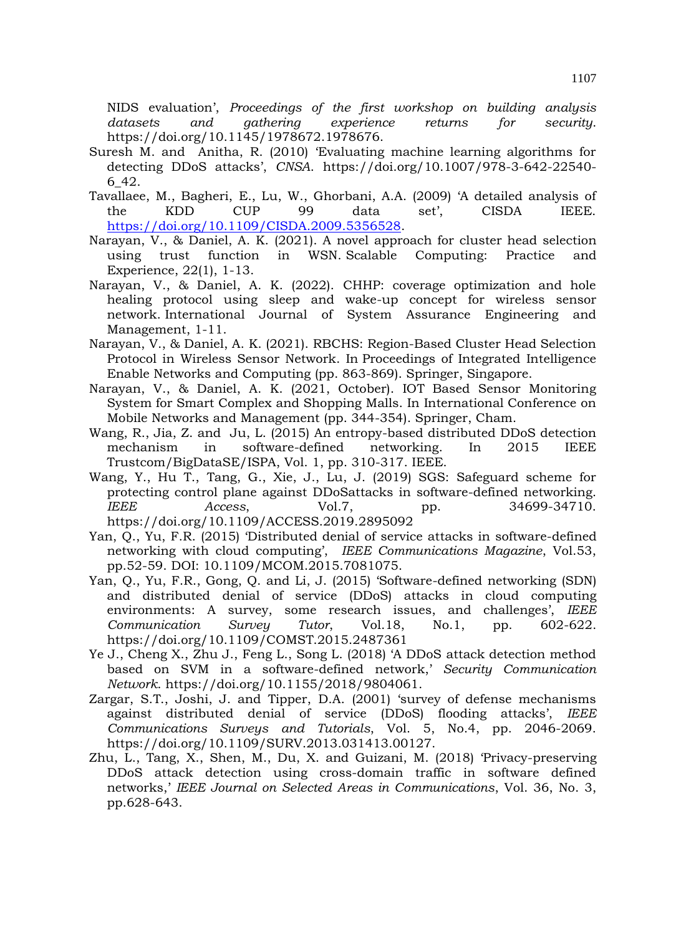NIDS evaluation', *Proceedings of the first workshop on building analysis datasets and gathering experience returns for security*. https://doi.org/10.1145/1978672.1978676.

- Suresh M. and Anitha, R. (2010) 'Evaluating machine learning algorithms for detecting DDoS attacks', *CNSA*. https://doi.org/10.1007/978-3-642-22540- 6\_42.
- Tavallaee, M., Bagheri, E., Lu, W., Ghorbani, A.A. (2009) 'A detailed analysis of the KDD CUP 99 data set', CISDA IEEE. [https://doi.org/10.1109/CISDA.2009.5356528.](https://doi.org/10.1109/CISDA.2009.5356528)
- Narayan, V., & Daniel, A. K. (2021). A novel approach for cluster head selection using trust function in WSN. Scalable Computing: Practice and Experience, 22(1), 1-13.
- Narayan, V., & Daniel, A. K. (2022). CHHP: coverage optimization and hole healing protocol using sleep and wake-up concept for wireless sensor network. International Journal of System Assurance Engineering and Management, 1-11.
- Narayan, V., & Daniel, A. K. (2021). RBCHS: Region-Based Cluster Head Selection Protocol in Wireless Sensor Network. In Proceedings of Integrated Intelligence Enable Networks and Computing (pp. 863-869). Springer, Singapore.
- Narayan, V., & Daniel, A. K. (2021, October). IOT Based Sensor Monitoring System for Smart Complex and Shopping Malls. In International Conference on Mobile Networks and Management (pp. 344-354). Springer, Cham.
- Wang, R., Jia, Z. and Ju, L. (2015) An entropy-based distributed DDoS detection mechanism in software-defined networking. In 2015 IEEE Trustcom/BigDataSE/ISPA, Vol. 1, pp. 310-317. IEEE.
- Wang, Y., Hu T., Tang, G., Xie, J., Lu, J. (2019) SGS: Safeguard scheme for protecting control plane against DDoSattacks in software-defined networking. *IEEE Access*, Vol.7, pp. 34699-34710. https://doi.org/10.1109/ACCESS.2019.2895092
- Yan, Q., Yu, F.R. (2015) 'Distributed denial of service attacks in software-defined networking with cloud computing', *IEEE Communications Magazine*, Vol.53, pp.52-59. DOI: 10.1109/MCOM.2015.7081075.
- Yan, Q., Yu, F.R., Gong, Q. and Li, J. (2015) 'Software-defined networking (SDN) and distributed denial of service (DDoS) attacks in cloud computing environments: A survey, some research issues, and challenges', *IEEE Communication Survey Tutor*, Vol.18, No.1, pp. 602-622. https://doi.org/10.1109/COMST.2015.2487361
- Ye J., Cheng X., Zhu J., Feng L., Song L. (2018) 'A DDoS attack detection method based on SVM in a software-defined network,' *Security Communication Network*. https://doi.org/10.1155/2018/9804061.
- Zargar, S.T., Joshi, J. and Tipper, D.A. (2001) 'survey of defense mechanisms against distributed denial of service (DDoS) flooding attacks', *IEEE Communications Surveys and Tutorials*, Vol. 5, No.4, pp. 2046-2069. https://doi.org/10.1109/SURV.2013.031413.00127.
- Zhu, L., Tang, X., Shen, M., Du, X. and Guizani, M. (2018) 'Privacy-preserving DDoS attack detection using cross-domain traffic in software defined networks,' *IEEE Journal on Selected Areas in Communications*, Vol. 36, No. 3, pp.628-643.